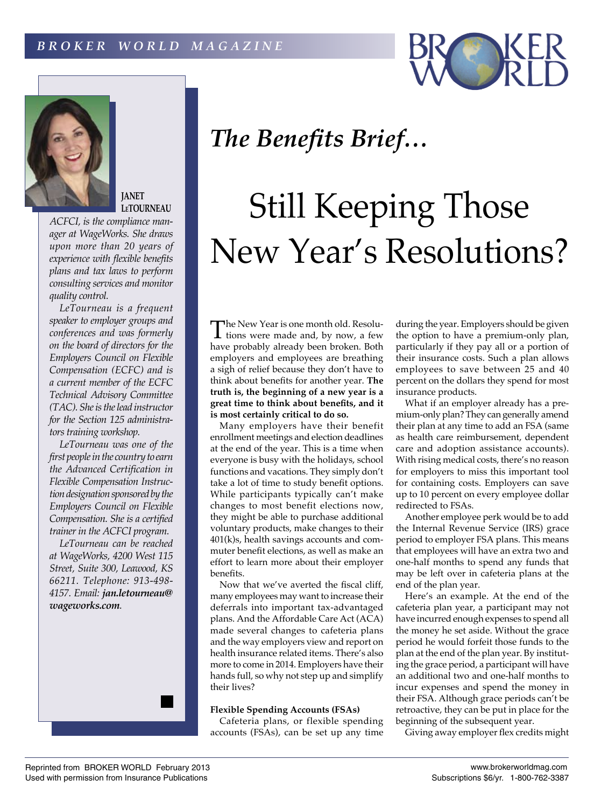



**JANET LeTOURNEAU**

*ACFCI, is the compliance manager at WageWorks. She draws upon more than 20 years of experience with flexible benefits plans and tax laws to perform consulting services and monitor quality control.*

*LeTourneau is a frequent speaker to employer groups and conferences and was formerly on the board of directors for the Employers Council on Flexible Compensation (ECFC) and is a current member of the ECFC Technical Advisory Committee (TAC). She is the lead instructor for the Section 125 administrators training workshop.*

*LeTourneau was one of the first people in the country to earn the Advanced Certification in Flexible Compensation Instruction designation sponsored by the Employers Council on Flexible Compensation. She is a certified trainer in the ACFCI program.*

*LeTourneau can be reached at WageWorks, 4200 West 115 Street, Suite 300, Leawood, KS 66211. Telephone: 913-498- 4157. Email: jan.letourneau@ wageworks.com.*

## *The Benefits Brief…*

# Still Keeping Those New Year's Resolutions?

The New Year is one month old. Resolu-tions were made and, by now, a few have probably already been broken. Both employers and employees are breathing a sigh of relief because they don't have to think about benefits for another year. **The truth is, the beginning of a new year is a great time to think about benefits, and it is most certainly critical to do so.**

Many employers have their benefit enrollment meetings and election deadlines at the end of the year. This is a time when everyone is busy with the holidays, school functions and vacations. They simply don't take a lot of time to study benefit options. While participants typically can't make changes to most benefit elections now, they might be able to purchase additional voluntary products, make changes to their 401(k)s, health savings accounts and commuter benefit elections, as well as make an effort to learn more about their employer benefits.

Now that we've averted the fiscal cliff, many employees may want to increase their deferrals into important tax-advantaged plans. And the Affordable Care Act (ACA) made several changes to cafeteria plans and the way employers view and report on health insurance related items. There's also more to come in 2014. Employers have their hands full, so why not step up and simplify their lives?

### **Flexible Spending Accounts (FSAs)**

Cafeteria plans, or flexible spending accounts (FSAs), can be set up any time during the year. Employers should be given the option to have a premium-only plan, particularly if they pay all or a portion of their insurance costs. Such a plan allows employees to save between 25 and 40 percent on the dollars they spend for most insurance products.

What if an employer already has a premium-only plan? They can generally amend their plan at any time to add an FSA (same as health care reimbursement, dependent care and adoption assistance accounts). With rising medical costs, there's no reason for employers to miss this important tool for containing costs. Employers can save up to 10 percent on every employee dollar redirected to FSAs.

Another employee perk would be to add the Internal Revenue Service (IRS) grace period to employer FSA plans. This means that employees will have an extra two and one-half months to spend any funds that may be left over in cafeteria plans at the end of the plan year.

Here's an example. At the end of the cafeteria plan year, a participant may not have incurred enough expenses to spend all the money he set aside. Without the grace period he would forfeit those funds to the plan at the end of the plan year. By instituting the grace period, a participant will have an additional two and one-half months to incur expenses and spend the money in their FSA. Although grace periods can't be retroactive, they can be put in place for the beginning of the subsequent year.

Giving away employer flex credits might